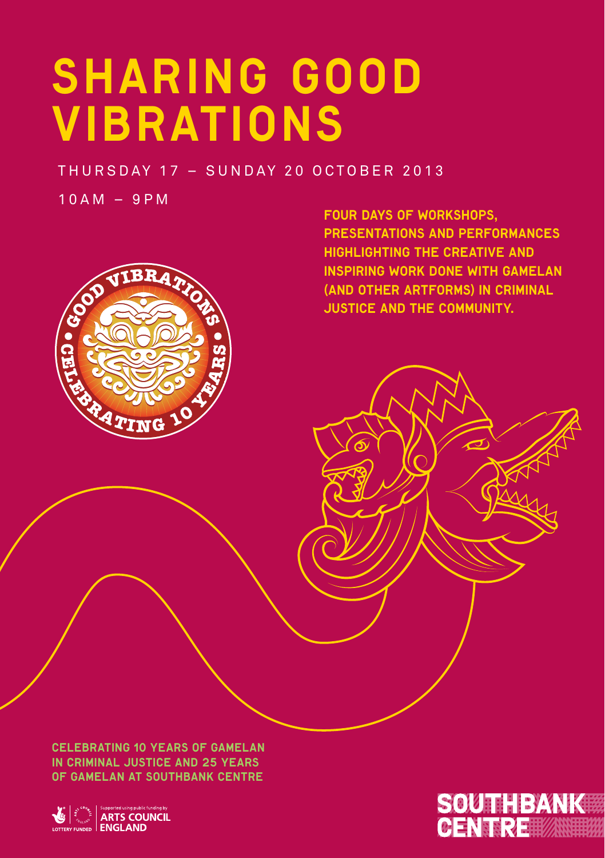# SHARING GOOD VIBRATIONS

THURSDAY 17 - SUNDAY 20 OCTOBER 2013

 $10AM - 9PM$ 



Four days of workshops, presentations and performances highlighting the creative and inspiring work done with gamelan (and other artforms) in criminal justice and the community.

Celebrating 10 years of Gamelan in Criminal Justice and 25 years of Gamelan at Southbank Centre